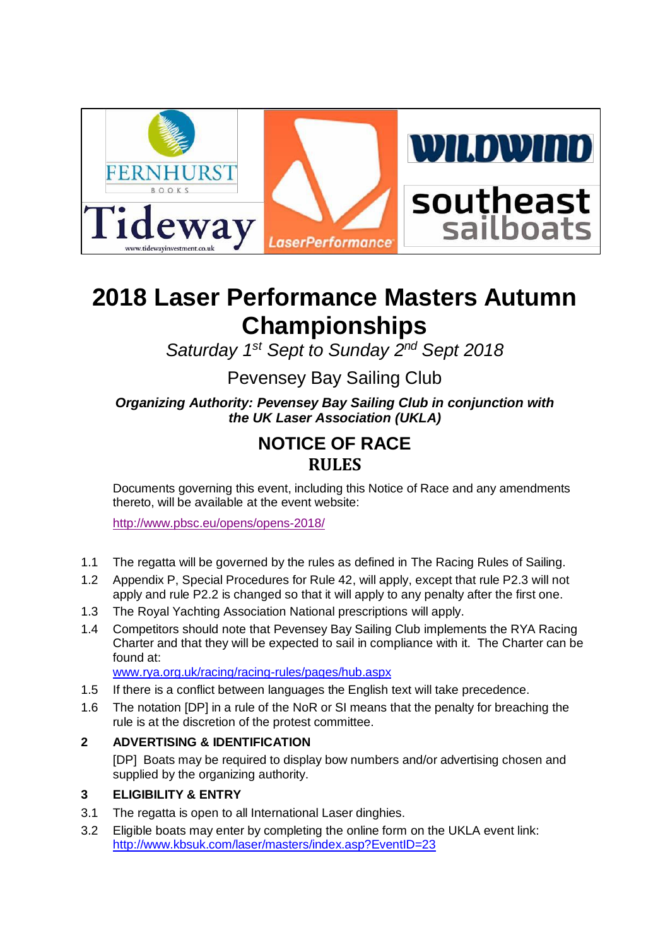

# **2018 Laser Performance Masters Autumn Championships**

*Saturday 1 st Sept to Sunday 2 nd Sept 2018*

## Pevensey Bay Sailing Club

*Organizing Authority: Pevensey Bay Sailing Club in conjunction with the UK Laser Association (UKLA)*

## **NOTICE OF RACE RULES**

Documents governing this event, including this Notice of Race and any amendments thereto, will be available at the event website:

<http://www.pbsc.eu/opens/opens-2018/>

- 1.1 The regatta will be governed by the rules as defined in The Racing Rules of Sailing.
- 1.2 Appendix P, Special Procedures for Rule 42, will apply, except that rule P2.3 will not apply and rule P2.2 is changed so that it will apply to any penalty after the first one.
- 1.3 The Royal Yachting Association National prescriptions will apply.
- 1.4 Competitors should note that Pevensey Bay Sailing Club implements the RYA Racing Charter and that they will be expected to sail in compliance with it. The Charter can be found at:

[www.rya.org.uk/racing/racing-rules/pages/hub.aspx](http://www.rya.org.uk/racing/racing-rules/pages/hub.aspx)

- 1.5 If there is a conflict between languages the English text will take precedence.
- 1.6 The notation [DP] in a rule of the NoR or SI means that the penalty for breaching the rule is at the discretion of the protest committee.

### **2 ADVERTISING & IDENTIFICATION**

[DP] Boats may be required to display bow numbers and/or advertising chosen and supplied by the organizing authority.

### **3 ELIGIBILITY & ENTRY**

- 3.1 The regatta is open to all International Laser dinghies.
- 3.2 Eligible boats may enter by completing the online form on the UKLA event link: <http://www.kbsuk.com/laser/masters/index.asp?EventID=23>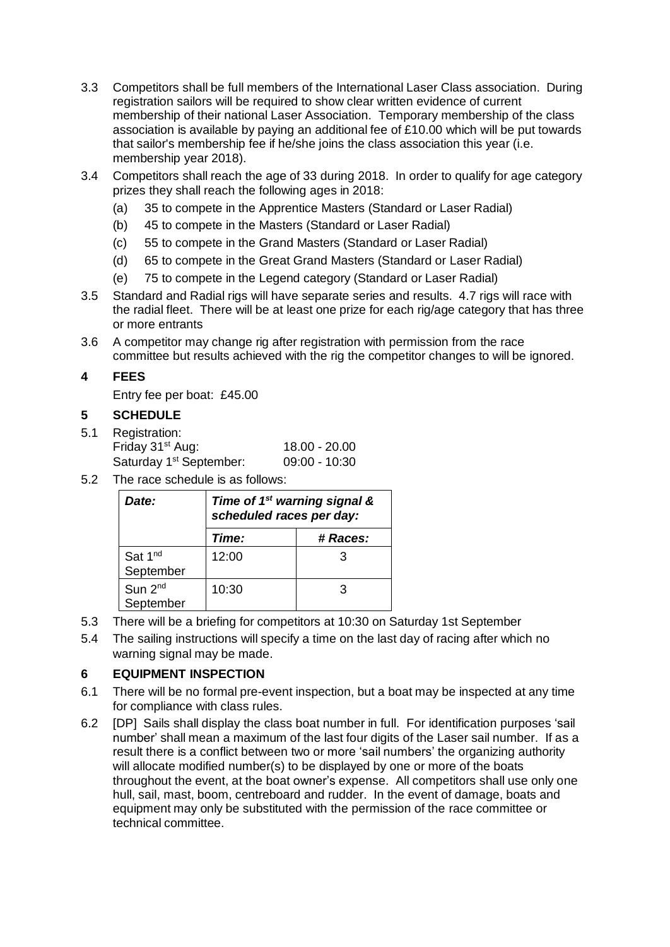- 3.3 Competitors shall be full members of the International Laser Class association. During registration sailors will be required to show clear written evidence of current membership of their national Laser Association. Temporary membership of the class association is available by paying an additional fee of £10.00 which will be put towards that sailor's membership fee if he/she joins the class association this year (i.e. membership year 2018).
- 3.4 Competitors shall reach the age of 33 during 2018. In order to qualify for age category prizes they shall reach the following ages in 2018:
	- (a) 35 to compete in the Apprentice Masters (Standard or Laser Radial)
	- (b) 45 to compete in the Masters (Standard or Laser Radial)
	- (c) 55 to compete in the Grand Masters (Standard or Laser Radial)
	- (d) 65 to compete in the Great Grand Masters (Standard or Laser Radial)
	- (e) 75 to compete in the Legend category (Standard or Laser Radial)
- 3.5 Standard and Radial rigs will have separate series and results. 4.7 rigs will race with the radial fleet. There will be at least one prize for each rig/age category that has three or more entrants
- 3.6 A competitor may change rig after registration with permission from the race committee but results achieved with the rig the competitor changes to will be ignored.

### **4 FEES**

Entry fee per boat: £45.00

### **5 SCHEDULE**

- 5.1 Registration: Friday 31st Aug: 18.00 - 20.00 Saturday 1<sup>st</sup> September: 09:00 - 10:30
- 5.2 The race schedule is as follows:

| Date:                            | Time of 1 <sup>st</sup> warning signal &<br>scheduled races per day: |          |  |
|----------------------------------|----------------------------------------------------------------------|----------|--|
|                                  | Time:                                                                | # Races: |  |
| Sat 1 <sup>nd</sup><br>September | 12:00                                                                | 3        |  |
| Sun 2 <sup>nd</sup><br>September | 10:30                                                                | З        |  |

- 5.3 There will be a briefing for competitors at 10:30 on Saturday 1st September
- 5.4 The sailing instructions will specify a time on the last day of racing after which no warning signal may be made.

### **6 EQUIPMENT INSPECTION**

- 6.1 There will be no formal pre-event inspection, but a boat may be inspected at any time for compliance with class rules.
- 6.2 [DP] Sails shall display the class boat number in full. For identification purposes 'sail number' shall mean a maximum of the last four digits of the Laser sail number. If as a result there is a conflict between two or more 'sail numbers' the organizing authority will allocate modified number(s) to be displayed by one or more of the boats throughout the event, at the boat owner's expense. All competitors shall use only one hull, sail, mast, boom, centreboard and rudder. In the event of damage, boats and equipment may only be substituted with the permission of the race committee or technical committee.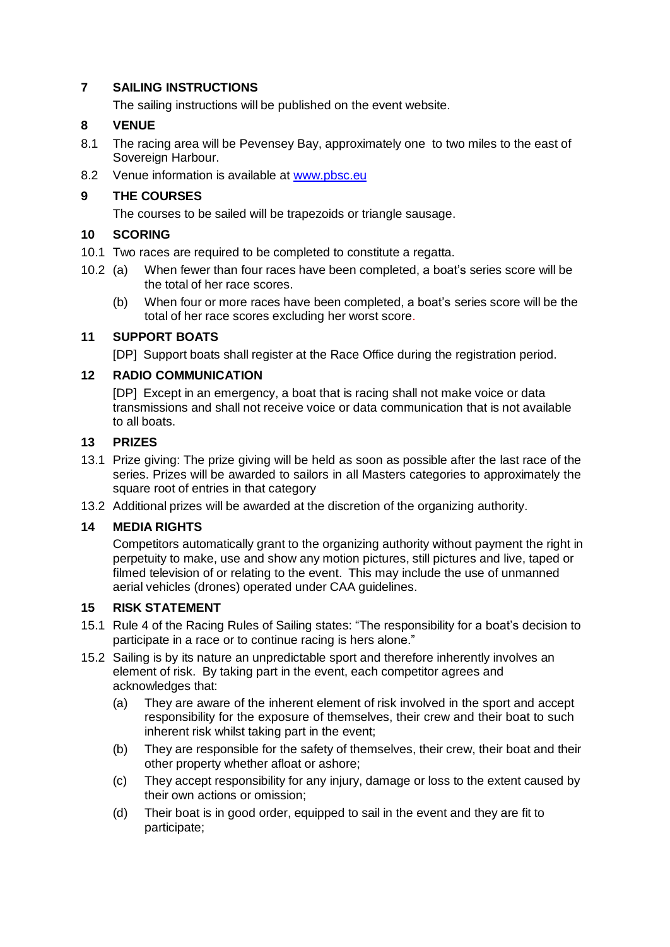### **7 SAILING INSTRUCTIONS**

The sailing instructions will be published on the event website.

### **8 VENUE**

- 8.1 The racing area will be Pevensey Bay, approximately one to two miles to the east of Sovereign Harbour.
- 8.2 Venue information is available at [www.pbsc.eu](http://www.pbsc.eu/)

### **9 THE COURSES**

The courses to be sailed will be trapezoids or triangle sausage.

### **10 SCORING**

- 10.1 Two races are required to be completed to constitute a regatta.
- 10.2 (a) When fewer than four races have been completed, a boat's series score will be the total of her race scores.
	- (b) When four or more races have been completed, a boat's series score will be the total of her race scores excluding her worst score.

### **11 SUPPORT BOATS**

[DP] Support boats shall register at the Race Office during the registration period.

### **12 RADIO COMMUNICATION**

[DP] Except in an emergency, a boat that is racing shall not make voice or data transmissions and shall not receive voice or data communication that is not available to all boats.

### **13 PRIZES**

- 13.1 Prize giving: The prize giving will be held as soon as possible after the last race of the series. Prizes will be awarded to sailors in all Masters categories to approximately the square root of entries in that category
- 13.2 Additional prizes will be awarded at the discretion of the organizing authority.

### **14 MEDIA RIGHTS**

Competitors automatically grant to the organizing authority without payment the right in perpetuity to make, use and show any motion pictures, still pictures and live, taped or filmed television of or relating to the event. This may include the use of unmanned aerial vehicles (drones) operated under CAA guidelines.

### **15 RISK STATEMENT**

- 15.1 Rule 4 of the Racing Rules of Sailing states: "The responsibility for a boat's decision to participate in a race or to continue racing is hers alone."
- 15.2 Sailing is by its nature an unpredictable sport and therefore inherently involves an element of risk. By taking part in the event, each competitor agrees and acknowledges that:
	- (a) They are aware of the inherent element of risk involved in the sport and accept responsibility for the exposure of themselves, their crew and their boat to such inherent risk whilst taking part in the event;
	- (b) They are responsible for the safety of themselves, their crew, their boat and their other property whether afloat or ashore;
	- (c) They accept responsibility for any injury, damage or loss to the extent caused by their own actions or omission;
	- (d) Their boat is in good order, equipped to sail in the event and they are fit to participate;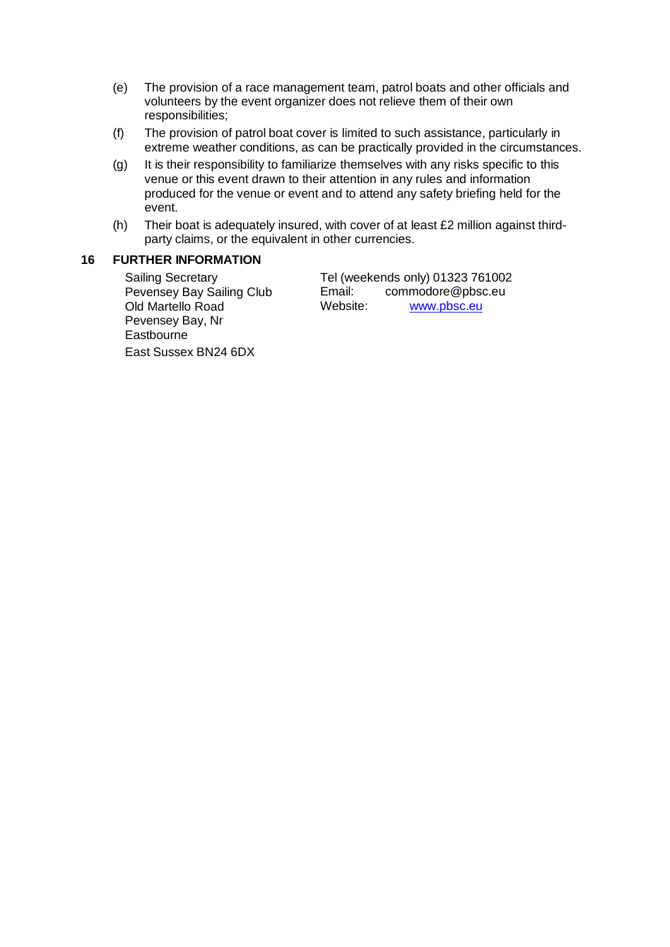- (e) The provision of a race management team, patrol boats and other officials and volunteers by the event organizer does not relieve them of their own responsibilities;
- (f) The provision of patrol boat cover is limited to such assistance, particularly in extreme weather conditions, as can be practically provided in the circumstances.
- (g) It is their responsibility to familiarize themselves with any risks specific to this venue or this event drawn to their attention in any rules and information produced for the venue or event and to attend any safety briefing held for the event.
- (h) Their boat is adequately insured, with cover of at least £2 million against thirdparty claims, or the equivalent in other currencies.

### **16 FURTHER INFORMATION**

Sailing Secretary Pevensey Bay Sailing Club Old Martello Road Pevensey Bay, Nr **Eastbourne** East Sussex BN24 6DX

Tel (weekends only) 01323 761002<br>Email: commodore@pbsc.eu [commodore@pbsc.eu](mailto:commodore@pbsc.eu) Website: [www.pbsc.eu](http://www.pbsc.eu/)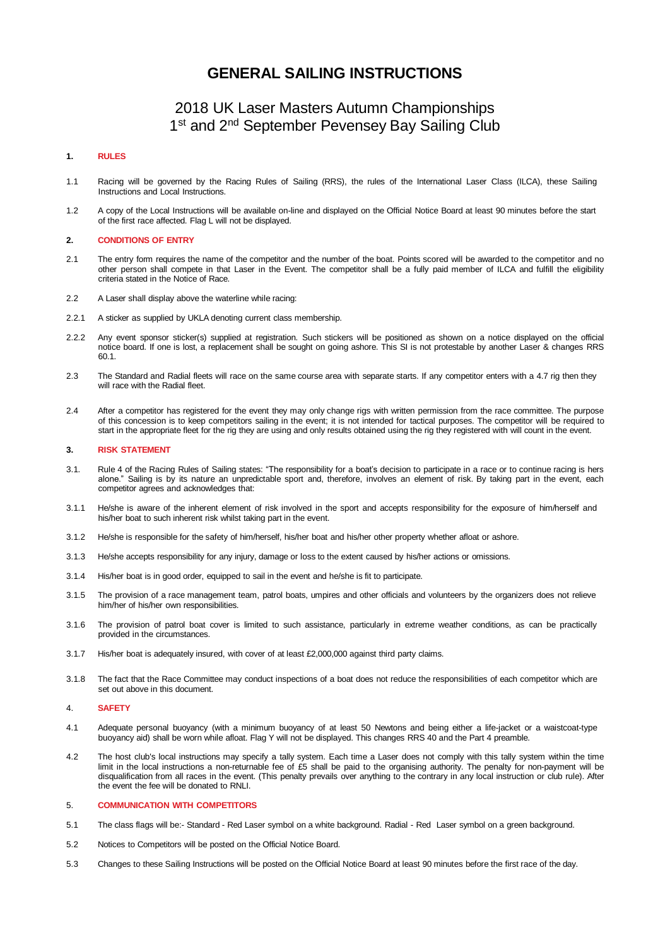### **GENERAL SAILING INSTRUCTIONS**

### 2018 UK Laser Masters Autumn Championships 1<sup>st</sup> and 2<sup>nd</sup> September Pevensey Bay Sailing Club

#### **1. RULES**

- 1.1 Racing will be governed by the Racing Rules of Sailing (RRS), the rules of the International Laser Class (ILCA), these Sailing Instructions and Local Instructions.
- 1.2 A copy of the Local Instructions will be available on-line and displayed on the Official Notice Board at least 90 minutes before the start of the first race affected. Flag L will not be displayed.

#### **2. CONDITIONS OF ENTRY**

- 2.1 The entry form requires the name of the competitor and the number of the boat. Points scored will be awarded to the competitor and no other person shall compete in that Laser in the Event. The competitor shall be a fully paid member of ILCA and fulfill the eligibility criteria stated in the Notice of Race.
- 2.2 A Laser shall display above the waterline while racing:
- 2.2.1 A sticker as supplied by UKLA denoting current class membership.
- 2.2.2 Any event sponsor sticker(s) supplied at registration. Such stickers will be positioned as shown on a notice displayed on the official notice board. If one is lost, a replacement shall be sought on going ashore. This SI is not protestable by another Laser & changes RRS 60.1.
- 2.3 The Standard and Radial fleets will race on the same course area with separate starts. If any competitor enters with a 4.7 rig then they will race with the Radial fleet.
- 2.4 After a competitor has registered for the event they may only change rigs with written permission from the race committee. The purpose of this concession is to keep competitors sailing in the event; it is not intended for tactical purposes. The competitor will be required to start in the appropriate fleet for the rig they are using and only results obtained using the rig they registered with will count in the event.

#### **3. RISK STATEMENT**

- 3.1. Rule 4 of the Racing Rules of Sailing states: "The responsibility for a boat's decision to participate in a race or to continue racing is hers alone." Sailing is by its nature an unpredictable sport and, therefore, involves an element of risk. By taking part in the event, each competitor agrees and acknowledges that:
- 3.1.1 He/she is aware of the inherent element of risk involved in the sport and accepts responsibility for the exposure of him/herself and his/her boat to such inherent risk whilst taking part in the event.
- 3.1.2 He/she is responsible for the safety of him/herself, his/her boat and his/her other property whether afloat or ashore.
- 3.1.3 He/she accepts responsibility for any injury, damage or loss to the extent caused by his/her actions or omissions.
- 3.1.4 His/her boat is in good order, equipped to sail in the event and he/she is fit to participate.
- 3.1.5 The provision of a race management team, patrol boats, umpires and other officials and volunteers by the organizers does not relieve him/her of his/her own responsibilities.
- 3.1.6 The provision of patrol boat cover is limited to such assistance, particularly in extreme weather conditions, as can be practically provided in the circumstances.
- 3.1.7 His/her boat is adequately insured, with cover of at least £2,000,000 against third party claims.
- 3.1.8 The fact that the Race Committee may conduct inspections of a boat does not reduce the responsibilities of each competitor which are set out above in this document.

#### 4. **SAFETY**

- 4.1 Adequate personal buoyancy (with a minimum buoyancy of at least 50 Newtons and being either a life-jacket or a waistcoat-type buoyancy aid) shall be worn while afloat. Flag Y will not be displayed. This changes RRS 40 and the Part 4 preamble.
- 4.2 The host club's local instructions may specify a tally system. Each time a Laser does not comply with this tally system within the time limit in the local instructions a non-returnable fee of £5 shall be paid to the organising authority. The penalty for non-payment will be disqualification from all races in the event. (This penalty prevails over anything to the contrary in any local instruction or club rule). After the event the fee will be donated to RNLI.

#### 5. **COMMUNICATION WITH COMPETITORS**

- 5.1 The class flags will be:- Standard Red Laser symbol on a white background. Radial Red Laser symbol on a green background.
- 5.2 Notices to Competitors will be posted on the Official Notice Board.
- 5.3 Changes to these Sailing Instructions will be posted on the Official Notice Board at least 90 minutes before the first race of the day.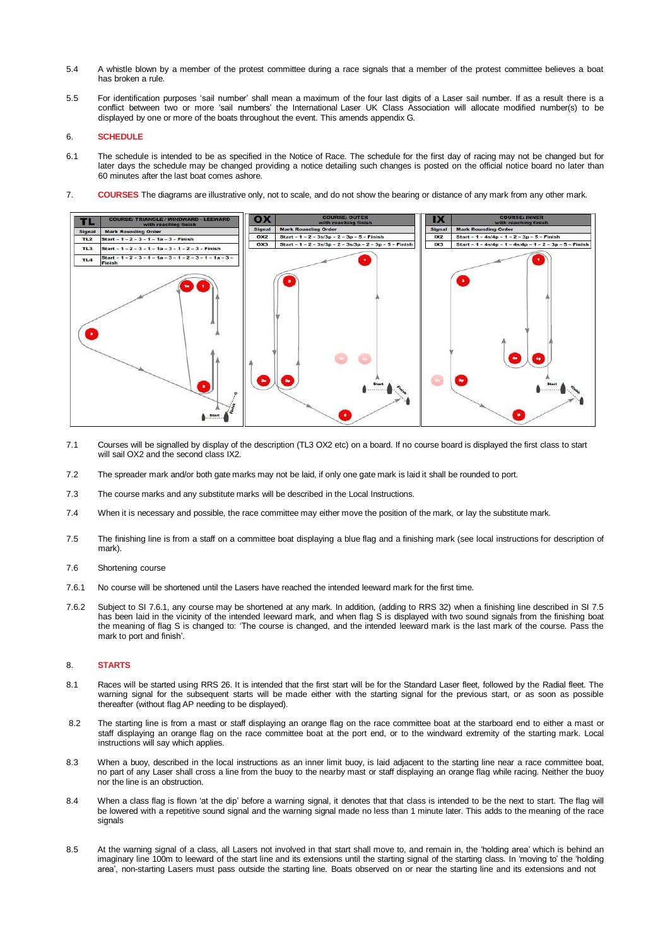- 5.4 A whistle blown by a member of the protest committee during a race signals that a member of the protest committee believes a boat has broken a rule.
- 5.5 For identification purposes 'sail number' shall mean a maximum of the four last digits of a Laser sail number. If as a result there is a conflict between two or more 'sail numbers' the International Laser UK Class Association will allocate modified number(s) to be displayed by one or more of the boats throughout the event. This amends appendix G.

#### 6. **SCHEDULE**

- 6.1 The schedule is intended to be as specified in the Notice of Race. The schedule for the first day of racing may not be changed but for later days the schedule may be changed providing a notice detailing such changes is posted on the official notice board no later than 60 minutes after the last boat comes ashore.
- 7. **COURSES** The diagrams are illustrative only, not to scale, and do not show the bearing or distance of any mark from any other mark.



- 7.1 Courses will be signalled by display of the description (TL3 OX2 etc) on a board. If no course board is displayed the first class to start will sail OX2 and the second class IX2.
- 7.2 The spreader mark and/or both gate marks may not be laid, if only one gate mark is laid it shall be rounded to port.
- 7.3 The course marks and any substitute marks will be described in the Local Instructions.
- 7.4 When it is necessary and possible, the race committee may either move the position of the mark, or lay the substitute mark.
- 7.5 The finishing line is from a staff on a committee boat displaying a blue flag and a finishing mark (see local instructions for description of mark).
- 7.6 Shortening course
- 7.6.1 No course will be shortened until the Lasers have reached the intended leeward mark for the first time.
- 7.6.2 Subject to SI 7.6.1, any course may be shortened at any mark. In addition, (adding to RRS 32) when a finishing line described in SI 7.5 has been laid in the vicinity of the intended leeward mark, and when flag S is displayed with two sound signals from the finishing boat the meaning of flag S is changed to: 'The course is changed, and the intended leeward mark is the last mark of the course. Pass the mark to port and finish'.

#### 8. **STARTS**

- 8.1 Races will be started using RRS 26. It is intended that the first start will be for the Standard Laser fleet, followed by the Radial fleet. The warning signal for the subsequent starts will be made either with the starting signal for the previous start, or as soon as possible thereafter (without flag AP needing to be displayed).
- 8.2 The starting line is from a mast or staff displaying an orange flag on the race committee boat at the starboard end to either a mast or staff displaying an orange flag on the race committee boat at the port end, or to the windward extremity of the starting mark. Local instructions will say which applies.
- 8.3 When a buoy, described in the local instructions as an inner limit buoy, is laid adjacent to the starting line near a race committee boat, no part of any Laser shall cross a line from the buoy to the nearby mast or staff displaying an orange flag while racing. Neither the buoy nor the line is an obstruction.
- 8.4 When a class flag is flown 'at the dip' before a warning signal, it denotes that that class is intended to be the next to start. The flag will be lowered with a repetitive sound signal and the warning signal made no less than 1 minute later. This adds to the meaning of the race signals
- 8.5 At the warning signal of a class, all Lasers not involved in that start shall move to, and remain in, the 'holding area' which is behind an imaginary line 100m to leeward of the start line and its extensions until the starting signal of the starting class. In 'moving to' the 'holding area', non-starting Lasers must pass outside the starting line. Boats observed on or near the starting line and its extensions and not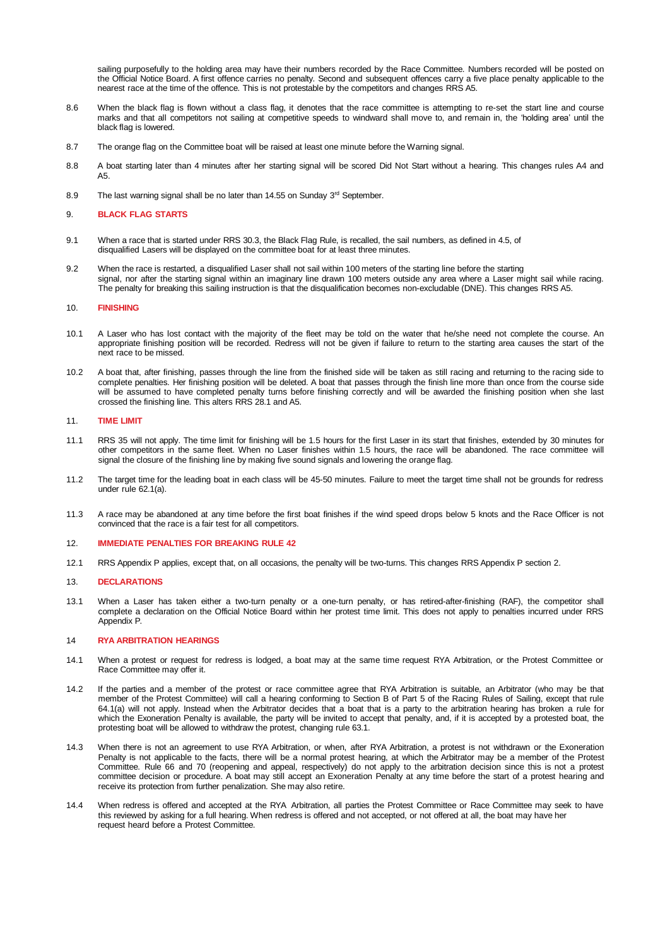sailing purposefully to the holding area may have their numbers recorded by the Race Committee. Numbers recorded will be posted on the Official Notice Board. A first offence carries no penalty. Second and subsequent offences carry a five place penalty applicable to the nearest race at the time of the offence. This is not protestable by the competitors and changes RRS A5.

- 8.6 When the black flag is flown without a class flag, it denotes that the race committee is attempting to re-set the start line and course marks and that all competitors not sailing at competitive speeds to windward shall move to, and remain in, the 'holding area' until the black flag is lowered.
- 8.7 The orange flag on the Committee boat will be raised at least one minute before the Warning signal.
- 8.8 A boat starting later than 4 minutes after her starting signal will be scored Did Not Start without a hearing. This changes rules A4 and A5.
- 8.9 The last warning signal shall be no later than 14.55 on Sunday 3<sup>rd</sup> September.

#### 9. **BLACK FLAG STARTS**

- 9.1 When a race that is started under RRS 30.3, the Black Flag Rule, is recalled, the sail numbers, as defined in 4.5, of disqualified Lasers will be displayed on the committee boat for at least three minutes.
- 9.2 When the race is restarted, a disqualified Laser shall not sail within 100 meters of the starting line before the starting signal, nor after the starting signal within an imaginary line drawn 100 meters outside any area where a Laser might sail while racing. The penalty for breaking this sailing instruction is that the disqualification becomes non-excludable (DNE). This changes RRS A5.

#### 10. **FINISHING**

- 10.1 A Laser who has lost contact with the majority of the fleet may be told on the water that he/she need not complete the course. An appropriate finishing position will be recorded. Redress will not be given if failure to return to the starting area causes the start of the next race to be missed.
- 10.2 A boat that, after finishing, passes through the line from the finished side will be taken as still racing and returning to the racing side to complete penalties. Her finishing position will be deleted. A boat that passes through the finish line more than once from the course side will be assumed to have completed penalty turns before finishing correctly and will be awarded the finishing position when she last crossed the finishing line. This alters RRS 28.1 and A5.

#### 11. **TIME LIMIT**

- 11.1 RRS 35 will not apply. The time limit for finishing will be 1.5 hours for the first Laser in its start that finishes, extended by 30 minutes for other competitors in the same fleet. When no Laser finishes within 1.5 hours, the race will be abandoned. The race committee will signal the closure of the finishing line by making five sound signals and lowering the orange flag.
- 11.2 The target time for the leading boat in each class will be 45-50 minutes. Failure to meet the target time shall not be grounds for redress under rule 62.1(a).
- 11.3 A race may be abandoned at any time before the first boat finishes if the wind speed drops below 5 knots and the Race Officer is not convinced that the race is a fair test for all competitors.
- 12. **IMMEDIATE PENALTIES FOR BREAKING RULE 42**
- 12.1 RRS Appendix P applies, except that, on all occasions, the penalty will be two-turns. This changes RRS Appendix P section 2.

#### 13. **DECLARATIONS**

13.1 When a Laser has taken either a two-turn penalty or a one-turn penalty, or has retired-after-finishing (RAF), the competitor shall complete a declaration on the Official Notice Board within her protest time limit. This does not apply to penalties incurred under RRS Appendix P.

#### 14 **RYA ARBITRATION HEARINGS**

- 14.1 When a protest or request for redress is lodged, a boat may at the same time request RYA Arbitration, or the Protest Committee or Race Committee may offer it.
- 14.2 If the parties and a member of the protest or race committee agree that RYA Arbitration is suitable, an Arbitrator (who may be that member of the Protest Committee) will call a hearing conforming to Section B of Part 5 of the Racing Rules of Sailing, except that rule 64.1(a) will not apply. Instead when the Arbitrator decides that a boat that is a party to the arbitration hearing has broken a rule for which the Exoneration Penalty is available, the party will be invited to accept that penalty, and, if it is accepted by a protested boat, the protesting boat will be allowed to withdraw the protest, changing rule 63.1.
- 14.3 When there is not an agreement to use RYA Arbitration, or when, after RYA Arbitration, a protest is not withdrawn or the Exoneration Penalty is not applicable to the facts, there will be a normal protest hearing, at which the Arbitrator may be a member of the Protest Committee. Rule 66 and 70 (reopening and appeal, respectively) do not apply to the arbitration decision since this is not a protest committee decision or procedure. A boat may still accept an Exoneration Penalty at any time before the start of a protest hearing and receive its protection from further penalization. She may also retire.
- 14.4 When redress is offered and accepted at the RYA Arbitration, all parties the Protest Committee or Race Committee may seek to have this reviewed by asking for a full hearing. When redress is offered and not accepted, or not offered at all, the boat may have her request heard before a Protest Committee.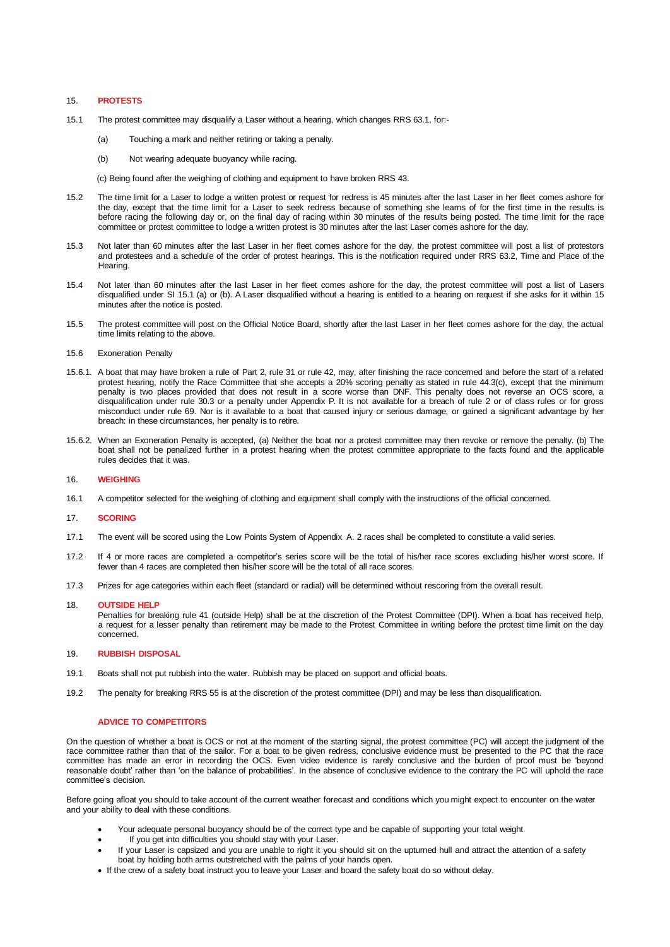#### 15. **PROTESTS**

- 15.1 The protest committee may disqualify a Laser without a hearing, which changes RRS 63.1, for:-
	- (a) Touching a mark and neither retiring or taking a penalty.
	- (b) Not wearing adequate buoyancy while racing.

(c) Being found after the weighing of clothing and equipment to have broken RRS 43.

- 15.2 The time limit for a Laser to lodge a written protest or request for redress is 45 minutes after the last Laser in her fleet comes ashore for the day, except that the time limit for a Laser to seek redress because of something she learns of for the first time in the results is before racing the following day or, on the final day of racing within 30 minutes of the results being posted. The time limit for the race committee or protest committee to lodge a written protest is 30 minutes after the last Laser comes ashore for the day.
- 15.3 Not later than 60 minutes after the last Laser in her fleet comes ashore for the day, the protest committee will post a list of protestors and protestees and a schedule of the order of protest hearings. This is the notification required under RRS 63.2, Time and Place of the Hearing.
- 15.4 Not later than 60 minutes after the last Laser in her fleet comes ashore for the day, the protest committee will post a list of Lasers disqualified under SI 15.1 (a) or (b). A Laser disqualified without a hearing is entitled to a hearing on request if she asks for it within 15 minutes after the notice is posted.
- 15.5 The protest committee will post on the Official Notice Board, shortly after the last Laser in her fleet comes ashore for the day, the actual time limits relating to the above.

#### 15.6 Exoneration Penalty

- 15.6.1. A boat that may have broken a rule of Part 2, rule 31 or rule 42, may, after finishing the race concerned and before the start of a related protest hearing, notify the Race Committee that she accepts a 20% scoring penalty as stated in rule 44.3(c), except that the minimum penalty is two places provided that does not result in a score worse than DNF. This penalty does not reverse an OCS score, a disqualification under rule 30.3 or a penalty under Appendix P. It is not available for a breach of rule 2 or of class rules or for gross misconduct under rule 69. Nor is it available to a boat that caused injury or serious damage, or gained a significant advantage by her breach: in these circumstances, her penalty is to retire.
- 15.6.2. When an Exoneration Penalty is accepted, (a) Neither the boat nor a protest committee may then revoke or remove the penalty. (b) The boat shall not be penalized further in a protest hearing when the protest committee appropriate to the facts found and the applicable rules decides that it was.

#### 16. **WEIGHING**

16.1 A competitor selected for the weighing of clothing and equipment shall comply with the instructions of the official concerned.

#### 17. **SCORING**

- 17.1 The event will be scored using the Low Points System of Appendix A. 2 races shall be completed to constitute a valid series.
- 17.2 If 4 or more races are completed a competitor's series score will be the total of his/her race scores excluding his/her worst score. If fewer than 4 races are completed then his/her score will be the total of all race scores.
- 17.3 Prizes for age categories within each fleet (standard or radial) will be determined without rescoring from the overall result.

#### 18. **OUTSIDE HELP**

Penalties for breaking rule 41 (outside Help) shall be at the discretion of the Protest Committee (DPI). When a boat has received help, a request for a lesser penalty than retirement may be made to the Protest Committee in writing before the protest time limit on the day concerned.

#### 19. **RUBBISH DISPOSAL**

- 19.1 Boats shall not put rubbish into the water. Rubbish may be placed on support and official boats.
- 19.2 The penalty for breaking RRS 55 is at the discretion of the protest committee (DPI) and may be less than disqualification.

#### **ADVICE TO COMPETITORS**

On the question of whether a boat is OCS or not at the moment of the starting signal, the protest committee (PC) will accept the judgment of the race committee rather than that of the sailor. For a boat to be given redress, conclusive evidence must be presented to the PC that the race committee has made an error in recording the OCS. Even video evidence is rarely conclusive and the burden of proof must be 'beyond reasonable doubt' rather than 'on the balance of probabilities'. In the absence of conclusive evidence to the contrary the PC will uphold the race committee's decision.

Before going afloat you should to take account of the current weather forecast and conditions which you might expect to encounter on the water and your ability to deal with these conditions.

- Your adequate personal buoyancy should be of the correct type and be capable of supporting your total weight
- If you get into difficulties you should stay with your Laser.
- If your Laser is capsized and you are unable to right it you should sit on the upturned hull and attract the attention of a safety boat by holding both arms outstretched with the palms of your hands open.
- If the crew of a safety boat instruct you to leave your Laser and board the safety boat do so without delay.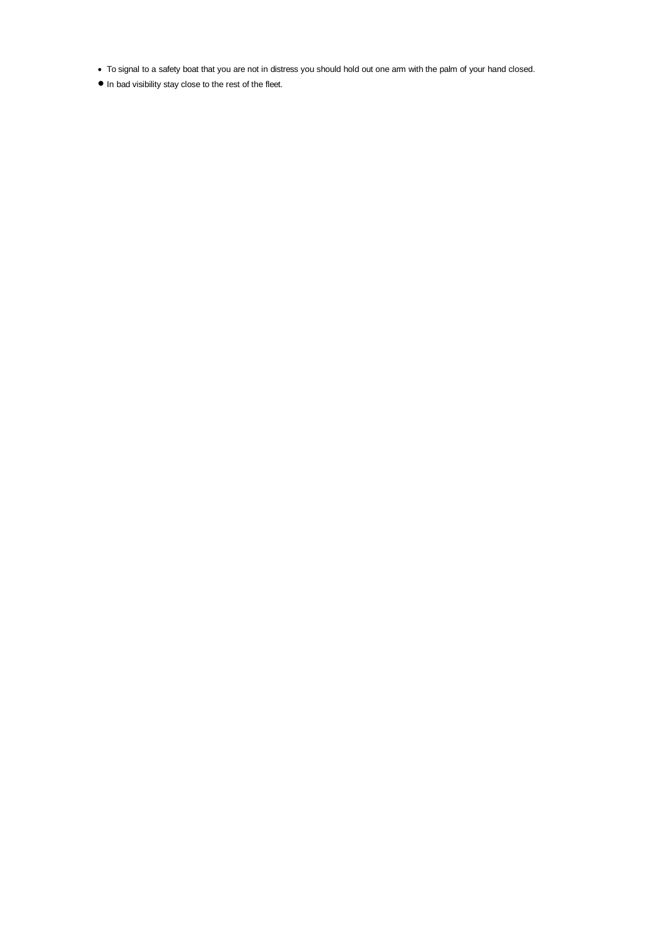- To signal to a safety boat that you are not in distress you should hold out one arm with the palm of your hand closed.
- In bad visibility stay close to the rest of the fleet.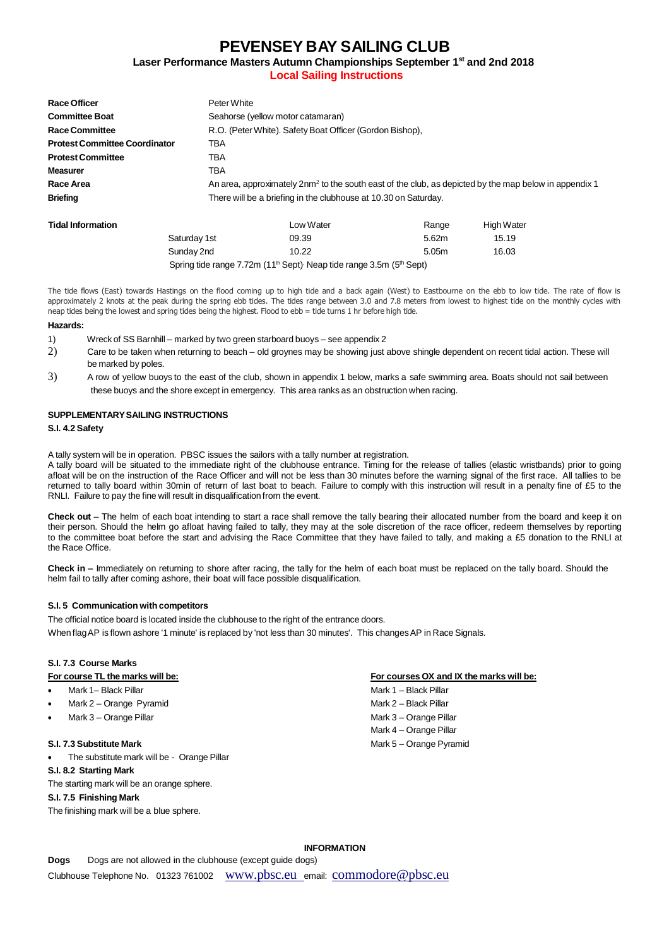### **PEVENSEY BAY SAILING CLUB**

**Laser Performance Masters Autumn Championships September 1 st and 2nd 2018 Local Sailing Instructions**

| Race Officer                         | Peter White                                                                                                       |  |  |
|--------------------------------------|-------------------------------------------------------------------------------------------------------------------|--|--|
| <b>Committee Boat</b>                | Seahorse (yellow motor catamaran)                                                                                 |  |  |
| <b>Race Committee</b>                | R.O. (Peter White). Safety Boat Officer (Gordon Bishop),                                                          |  |  |
| <b>Protest Committee Coordinator</b> | TBA                                                                                                               |  |  |
| <b>Protest Committee</b>             | TBA                                                                                                               |  |  |
| <b>Measurer</b>                      | TBA                                                                                                               |  |  |
| Race Area                            | An area, approximately 2nm <sup>2</sup> to the south east of the club, as depicted by the map below in appendix 1 |  |  |
| <b>Briefing</b>                      | There will be a briefing in the clubhouse at 10.30 on Saturday.                                                   |  |  |
|                                      |                                                                                                                   |  |  |

| Tidal Information |                                                                                                          | Low Water | Range             | <b>High Water</b> |  |
|-------------------|----------------------------------------------------------------------------------------------------------|-----------|-------------------|-------------------|--|
|                   | Saturday 1st                                                                                             | 09.39     | 5.62m             | 15.19             |  |
|                   | Sunday 2nd                                                                                               | 10.22     | 5.05 <sub>m</sub> | 16.03             |  |
|                   | Spring tide range 7.72m (11 <sup>th</sup> Sept) <sup>,</sup> Neap tide range 3.5m (5 <sup>th</sup> Sept) |           |                   |                   |  |

The tide flows (East) towards Hastings on the flood coming up to high tide and a back again (West) to Eastbourne on the ebb to low tide. The rate of flow is approximately 2 knots at the peak during the spring ebb tides. The tides range between 3.0 and 7.8 meters from lowest to highest tide on the monthly cycles with neap tides being the lowest and spring tides being the highest. Flood to ebb = tide turns 1 hr before high tide.

#### **Hazards:**

- 1) Wreck of SS Barnhill marked by two green starboard buoys see appendix 2
- 2) Care to be taken when returning to beach old groynes may be showing just above shingle dependent on recent tidal action. These will be marked by poles.
- 3) A row of yellow buoys to the east of the club, shown in appendix 1 below, marks a safe swimming area. Boats should not sail between these buoys and the shore except in emergency. This area ranks as an obstruction when racing.

### **SUPPLEMENTARYSAILING INSTRUCTIONS**

#### **S.I. 4.2 Safety**

A tally system will be in operation. PBSC issues the sailors with a tally number at registration.

A tally board will be situated to the immediate right of the clubhouse entrance. Timing for the release of tallies (elastic wristbands) prior to going afloat will be on the instruction of the Race Officer and will not be less than 30 minutes before the warning signal of the first race. All tallies to be returned to tally board within 30min of return of last boat to beach. Failure to comply with this instruction will result in a penalty fine of £5 to the RNLI. Failure to pay the fine will result in disqualification from the event.

**Check out** – The helm of each boat intending to start a race shall remove the tally bearing their allocated number from the board and keep it on their person. Should the helm go afloat having failed to tally, they may at the sole discretion of the race officer, redeem themselves by reporting to the committee boat before the start and advising the Race Committee that they have failed to tally, and making a £5 donation to the RNLI at the Race Office.

**Check in –** Immediately on returning to shore after racing, the tally for the helm of each boat must be replaced on the tally board. Should the helm fail to tally after coming ashore, their boat will face possible disqualification.

#### **S.I. 5 Communication with competitors**

The official notice board is located inside the clubhouse to the right of the entrance doors. When flag AP is flown ashore '1 minute' is replaced by 'not less than 30 minutes'. This changes AP in Race Signals.

### **S.I. 7.3 Course Marks**

- 
- Mark 2 Orange Pyramid Mark 2 Black Pillar
- 

• The substitute mark will be - Orange Pillar

### **S.I. 8.2 Starting Mark**

The starting mark will be an orange sphere.

#### **S.I. 7.5 Finishing Mark**

The finishing mark will be a blue sphere.

#### **For course TL the marks will be: For courses OX and IX the marks will be:**

• Mark 1– Black Pillar Mark 1 – Black Pillar • Mark 3 – Orange Pillar Mark 3 – Orange Pillar Mark 4 – Orange Pillar **S.I. 7.3 Substitute Mark** Mark 5 – Orange Pyramid

#### **INFORMATION**